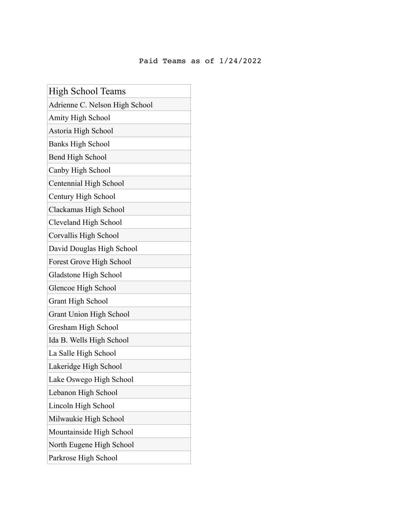## Paid Teams as of 1/24/2022

| High School Teams              |
|--------------------------------|
| Adrienne C. Nelson High School |
| Amity High School              |
| Astoria High School            |
| <b>Banks High School</b>       |
| <b>Bend High School</b>        |
| Canby High School              |
| Centennial High School         |
| Century High School            |
| Clackamas High School          |
| Cleveland High School          |
| Corvallis High School          |
| David Douglas High School      |
| Forest Grove High School       |
| Gladstone High School          |
| Glencoe High School            |
| <b>Grant High School</b>       |
| <b>Grant Union High School</b> |
| Gresham High School            |
| Ida B. Wells High School       |
| La Salle High School           |
| Lakeridge High School          |
| Lake Oswego High School        |
| Lebanon High School            |
| Lincoln High School            |
| Milwaukie High School          |
| Mountainside High School       |
| North Eugene High School       |
| Parkrose High School           |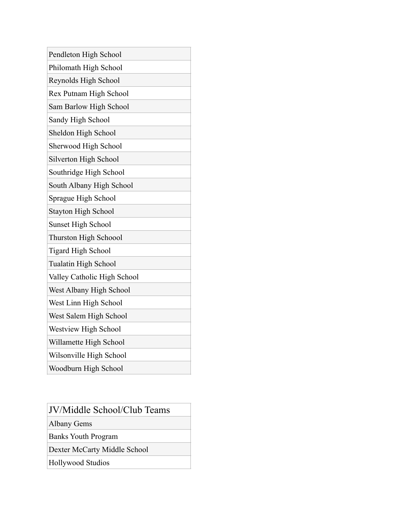| Pendleton High School       |
|-----------------------------|
| Philomath High School       |
| Reynolds High School        |
| Rex Putnam High School      |
| Sam Barlow High School      |
| Sandy High School           |
| Sheldon High School         |
| Sherwood High School        |
| Silverton High School       |
| Southridge High School      |
| South Albany High School    |
| Sprague High School         |
| <b>Stayton High School</b>  |
| <b>Sunset High School</b>   |
| Thurston High Schoool       |
| <b>Tigard High School</b>   |
| Tualatin High School        |
| Valley Catholic High School |
| West Albany High School     |
| West Linn High School       |
| West Salem High School      |
| Westview High School        |
| Willamette High School      |
| Wilsonville High School     |
| Woodburn High School        |

| <b>JV/Middle School/Club Teams</b> |
|------------------------------------|
| <b>Albany Gems</b>                 |
| <b>Banks Youth Program</b>         |
| Dexter McCarty Middle School       |

Hollywood Studios